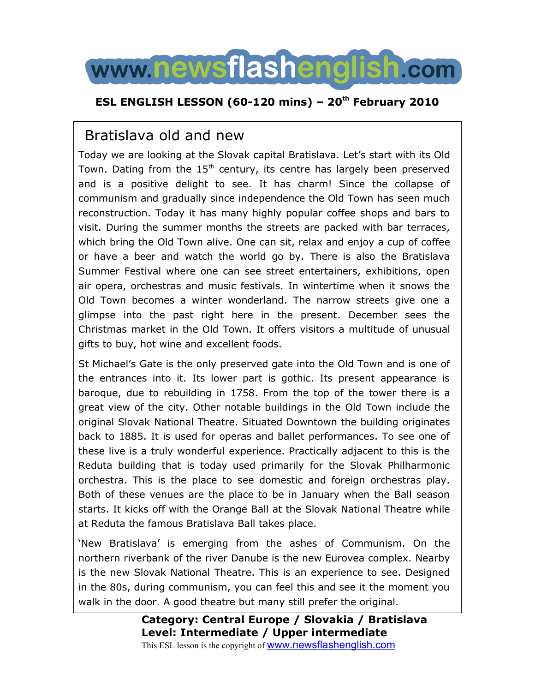# www.newsflashenglish.com

### **ESL ENGLISH LESSON (60-120 mins) 20th February 2010**

# Bratislava old and new

Today we are looking at the Slovak capital Bratislava. Let's start with its Old Town. Dating from the  $15^{\text{th}}$  century, its centre has largely been preserved and is a positive delight to see. It has charm! Since the collapse of communism and gradually since independence the Old Town has seen much reconstruction. Today it has many highly popular coffee shops and bars to visit. During the summer months the streets are packed with bar terraces, which bring the Old Town alive. One can sit, relax and enjoy a cup of coffee or have a beer and watch the world go by. There is also the Bratislava Summer Festival where one can see street entertainers, exhibitions, open air opera, orchestras and music festivals. In wintertime when it snows the Old Town becomes a winter wonderland. The narrow streets give one a glimpse into the past right here in the present. December sees the Christmas market in the Old Town. It offers visitors a multitude of unusual gifts to buy, hot wine and excellent foods.

St Michael's Gate is the only preserved gate into the Old Town and is one of the entrances into it. Its lower part is gothic. Its present appearance is baroque, due to rebuilding in 1758. From the top of the tower there is a great view of the city. Other notable buildings in the Old Town include the original Slovak National Theatre. Situated Downtown the building originates back to 1885. It is used for operas and ballet performances. To see one of these live is a truly wonderful experience. Practically adjacent to this is the Reduta building that is today used primarily for the Slovak Philharmonic orchestra. This is the place to see domestic and foreign orchestras play. Both of these venues are the place to be in January when the Ball season starts. It kicks off with the Orange Ball at the Slovak National Theatre while at Reduta the famous Bratislava Ball takes place.

'New Bratislava' is emerging from the ashes of Communism. On the northern riverbank of the river Danube is the new Eurovea complex. Nearby is the new Slovak National Theatre. This is an experience to see. Designed in the 80s, during communism, you can feel this and see it the moment you walk in the door. A good theatre but many still prefer the original.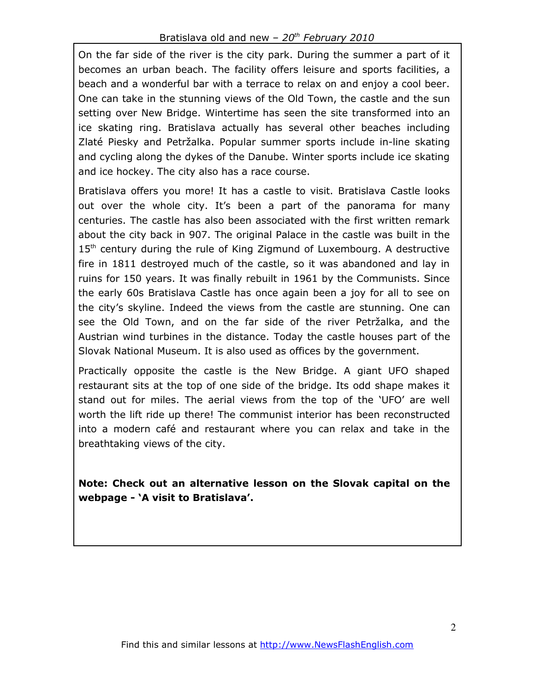On the far side of the river is the city park. During the summer a part of it becomes an urban beach. The facility offers leisure and sports facilities, a beach and a wonderful bar with a terrace to relax on and enjoy a cool beer. One can take in the stunning views of the Old Town, the castle and the sun setting over New Bridge. Wintertime has seen the site transformed into an ice skating ring. Bratislava actually has several other beaches including Zlaté Piesky and Petržalka. Popular summer sports include in-line skating and cycling along the dykes of the Danube. Winter sports include ice skating and ice hockey. The city also has a race course.

Bratislava offers you more! It has a castle to visit. Bratislava Castle looks out over the whole city. It's been a part of the panorama for many centuries. The castle has also been associated with the first written remark about the city back in 907. The original Palace in the castle was built in the 15<sup>th</sup> century during the rule of King Zigmund of Luxembourg. A destructive fire in 1811 destroyed much of the castle, so it was abandoned and lay in ruins for 150 years. It was finally rebuilt in 1961 by the Communists. Since the early 60s Bratislava Castle has once again been a joy for all to see on the city's skyline. Indeed the views from the castle are stunning. One can see the Old Town, and on the far side of the river Petržalka, and the Austrian wind turbines in the distance. Today the castle houses part of the Slovak National Museum. It is also used as offices by the government.

Practically opposite the castle is the New Bridge. A giant UFO shaped restaurant sits at the top of one side of the bridge. Its odd shape makes it stand out for miles. The aerial views from the top of the 'UFO' are well worth the lift ride up there! The communist interior has been reconstructed into a modern café and restaurant where you can relax and take in the breathtaking views of the city.

**Note: Check out an alternative lesson on the Slovak capital on the webpage - A visit to Bratislava.**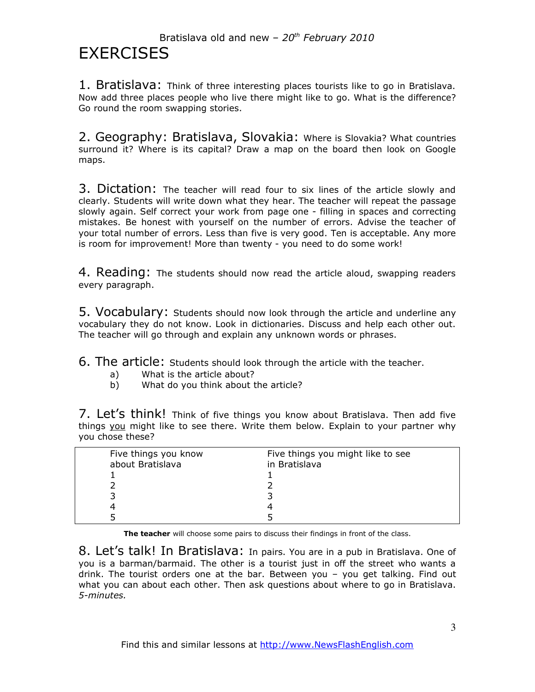1. Bratislava: Think of three interesting places tourists like to go in Bratislava. Now add three places people who live there might like to go. What is the difference? Go round the room swapping stories.

2. Geography: Bratislava, Slovakia: Where is Slovakia? What countries surround it? Where is its capital? Draw a map on the board then look on Google maps.

3. Dictation: The teacher will read four to six lines of the article slowly and clearly. Students will write down what they hear. The teacher will repeat the passage slowly again. Self correct your work from page one - filling in spaces and correcting mistakes. Be honest with yourself on the number of errors. Advise the teacher of your total number of errors. Less than five is very good. Ten is acceptable. Any more is room for improvement! More than twenty - you need to do some work!

4. Reading: The students should now read the article aloud, swapping readers every paragraph.

5. Vocabulary: Students should now look through the article and underline any vocabulary they do not know. Look in dictionaries. Discuss and help each other out. The teacher will go through and explain any unknown words or phrases.

6. The article: Students should look through the article with the teacher.

- a) What is the article about?
- b) What do you think about the article?

7. Let's think! Think of five things you know about Bratislava. Then add five things you might like to see there. Write them below. Explain to your partner why you chose these?

| Five things you know<br>about Bratislava | Five things you might like to see<br>in Bratislava |
|------------------------------------------|----------------------------------------------------|
|                                          |                                                    |
|                                          |                                                    |
|                                          |                                                    |

**The teacher** will choose some pairs to discuss their findings in front of the class.

8. Let's talk! In Bratislava: In pairs. You are in a pub in Bratislava. One of you is a barman/barmaid. The other is a tourist just in off the street who wants a drink. The tourist orders one at the bar. Between you  $-$  you get talking. Find out what you can about each other. Then ask questions about where to go in Bratislava. *5-minutes.*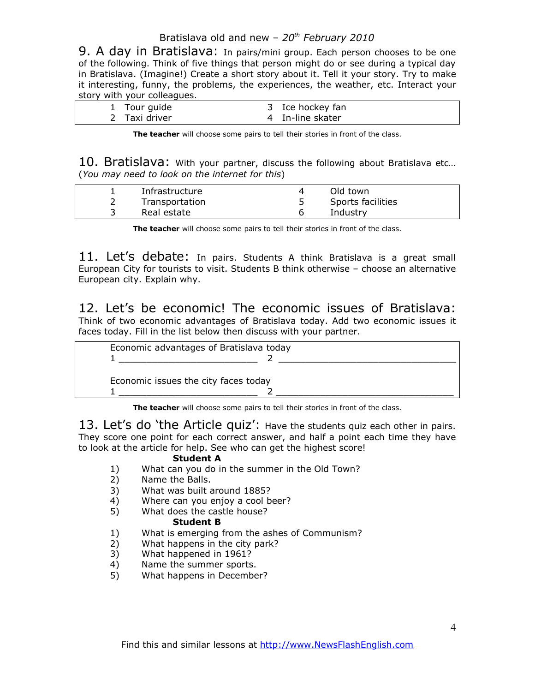#### Bratislava old and new *20th February 2010*

9. A day in Bratislava: In pairs/mini group. Each person chooses to be one of the following. Think of five things that person might do or see during a typical day in Bratislava. (Imagine!) Create a short story about it. Tell it your story. Try to make it interesting, funny, the problems, the experiences, the weather, etc. Interact your story with your colleagues.

| 1 Tour guide  | 3 Ice hockey fan |
|---------------|------------------|
| 2 Taxi driver | 4 In-line skater |

**The teacher** will choose some pairs to tell their stories in front of the class.

10. Bratislava: With your partner, discuss the following about Bratislava etc... (*You may need to look on the internet for this*)

| Infrastructure | Old town          |  |
|----------------|-------------------|--|
| Transportation | Sports facilities |  |
| Real estate    | Industry          |  |

**The teacher** will choose some pairs to tell their stories in front of the class.

11. Let's debate: In pairs. Students A think Bratislava is a great small European City for tourists to visit. Students B think otherwise choose an alternative European city. Explain why.

12. Let's be economic! The economic issues of Bratislava: Think of two economic advantages of Bratislava today. Add two economic issues it faces today. Fill in the list below then discuss with your partner.



**The teacher** will choose some pairs to tell their stories in front of the class.

13. Let's do 'the Article quiz': Have the students quiz each other in pairs. They score one point for each correct answer, and half a point each time they have to look at the article for help. See who can get the highest score!

#### **Student A**

- 1) What can you do in the summer in the Old Town?
- 2) Name the Balls.
- 3) What was built around 1885?
- 4) Where can you enjoy a cool beer?
- 5) What does the castle house?

#### **Student B**

- 1) What is emerging from the ashes of Communism?
- 2) What happens in the city park?
- 3) What happened in 1961?
- 4) Name the summer sports.
- 5) What happens in December?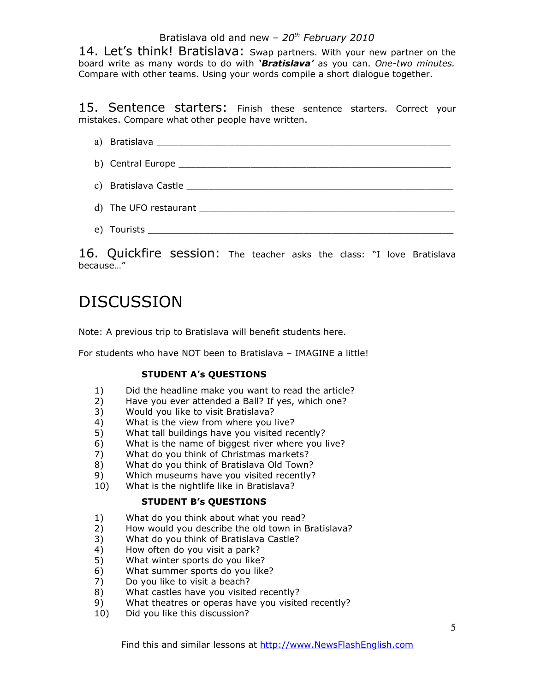#### Bratislava old and new *20th February 2010*

14. Let's think! Bratislava: Swap partners. With your new partner on the board write as many words to do with *Bratislava* as you can. *One-two minutes.* Compare with other teams. Using your words compile a short dialogue together.

15. Sentence starters: Finish these sentence starters. Correct your mistakes. Compare what other people have written.

# a) Bratislava et al. 2008 et al. 2009 et al. 2009 et al. 2009 et al. 2009 et al. 2009 et al. 2009 et al. 2009 e b) Central Europe **Europe** and the set of the set of the set of the set of the set of the set of the set of the set of the set of the set of the set of the set of the set of the set of the set of the set of the set of the c) Bratislava Castle \_\_\_\_\_\_\_\_\_\_\_\_\_\_\_\_\_\_\_\_\_\_\_\_\_\_\_\_\_\_\_\_\_\_\_\_\_\_\_\_\_\_\_\_\_\_\_\_ d) The UFO restaurant **EXECUTE 10** and the UFO restaurant e) Tourists \_\_\_\_\_\_\_\_\_\_\_\_\_\_\_\_\_\_\_\_\_\_\_\_\_\_\_\_\_\_\_\_\_\_\_\_\_\_\_\_\_\_\_\_\_\_\_\_\_\_\_\_\_\_\_

16. Quickfire session: The teacher asks the class: "I love Bratislava because..."

# DISCUSSION

Note: A previous trip to Bratislava will benefit students here.

For students who have NOT been to Bratislava – IMAGINE a little!

#### **STUDENT A's QUESTIONS**

- 1) Did the headline make you want to read the article?
- 2) Have you ever attended a Ball? If yes, which one?
- 3) Would you like to visit Bratislava?
- 4) What is the view from where you live?
- 5) What tall buildings have you visited recently?
- 6) What is the name of biggest river where you live?
- 7) What do you think of Christmas markets?
- 8) What do you think of Bratislava Old Town?
- 9) Which museums have you visited recently?
- 10) What is the nightlife like in Bratislava?

#### **STUDENT B's QUESTIONS**

- 1) What do you think about what you read?
- 2) How would you describe the old town in Bratislava?
- 3) What do you think of Bratislava Castle?
- 4) How often do you visit a park?
- 5) What winter sports do you like?
- 6) What summer sports do you like?
- 7) Do you like to visit a beach?
- 8) What castles have you visited recently?
- 9) What theatres or operas have you visited recently?
- 10) Did you like this discussion?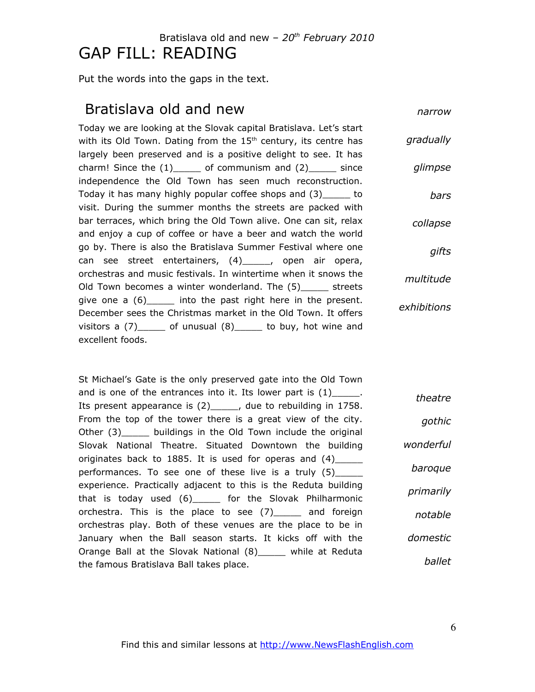## Bratislava old and new *20th February 2010* GAP FILL: READING

Put the words into the gaps in the text.

## Bratislava old and new

*narrow*

Today we are looking at the Slovak capital Bratislava. Let's start with its Old Town. Dating from the  $15<sup>th</sup>$  century, its centre has largely been preserved and is a positive delight to see. It has charm! Since the  $(1)$  of communism and  $(2)$  since independence the Old Town has seen much reconstruction. Today it has many highly popular coffee shops and (3)\_\_\_\_\_ to visit. During the summer months the streets are packed with bar terraces, which bring the Old Town alive. One can sit, relax and enjoy a cup of coffee or have a beer and watch the world go by. There is also the Bratislava Summer Festival where one can see street entertainers, (4)\_\_\_\_\_, open air opera, orchestras and music festivals. In wintertime when it snows the Old Town becomes a winter wonderland. The (5)\_\_\_\_\_ streets give one a  $(6)$  and into the past right here in the present. December sees the Christmas market in the Old Town. It offers visitors a  $(7)$  \_\_\_\_\_ of unusual  $(8)$  \_\_\_\_\_ to buy, hot wine and excellent foods. *gradually glimpse bars collapse gifts multitude exhibitions*

St Michael's Gate is the only preserved gate into the Old Town and is one of the entrances into it. Its lower part is  $(1)$ \_\_\_\_\_. Its present appearance is (2)\_\_\_\_\_, due to rebuilding in 1758. From the top of the tower there is a great view of the city. Other (3) buildings in the Old Town include the original Slovak National Theatre. Situated Downtown the building originates back to 1885. It is used for operas and (4)\_\_\_\_\_ performances. To see one of these live is a truly (5)\_\_\_\_\_ experience. Practically adjacent to this is the Reduta building that is today used (6)\_\_\_\_\_ for the Slovak Philharmonic orchestra. This is the place to see (7)\_\_\_\_\_ and foreign orchestras play. Both of these venues are the place to be in January when the Ball season starts. It kicks off with the Orange Ball at the Slovak National (8)\_\_\_\_\_ while at Reduta the famous Bratislava Ball takes place. *theatre gothic wonderful baroque primarily notable domestic ballet*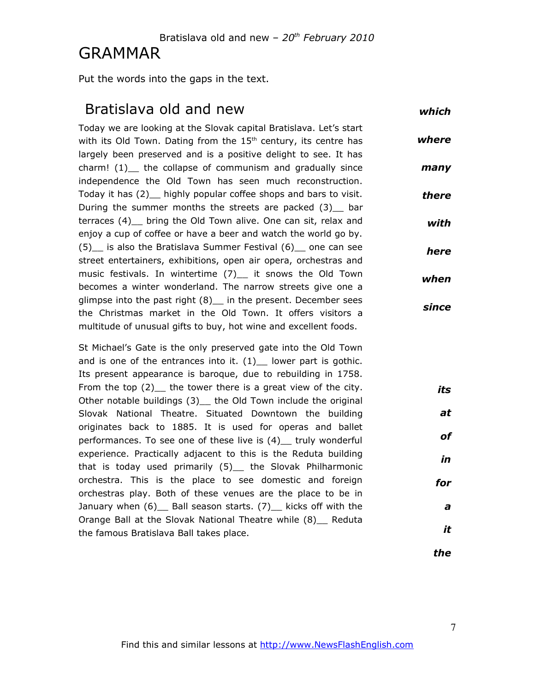#### Bratislava old and new *20th February 2010*

# GRAMMAR

Put the words into the gaps in the text.

## Bratislava old and new

*which*

Today we are looking at the Slovak capital Bratislava. Let's start with its Old Town. Dating from the  $15<sup>th</sup>$  century, its centre has largely been preserved and is a positive delight to see. It has  $charm!$  (1) the collapse of communism and gradually since independence the Old Town has seen much reconstruction. Today it has (2)\_\_ highly popular coffee shops and bars to visit. During the summer months the streets are packed (3) bar terraces (4)\_\_ bring the Old Town alive. One can sit, relax and enjoy a cup of coffee or have a beer and watch the world go by. (5)\_\_ is also the Bratislava Summer Festival (6)\_\_ one can see street entertainers, exhibitions, open air opera, orchestras and music festivals. In wintertime (7) it snows the Old Town becomes a winter wonderland. The narrow streets give one a glimpse into the past right (8)\_\_ in the present. December sees the Christmas market in the Old Town. It offers visitors a multitude of unusual gifts to buy, hot wine and excellent foods. *where many there with here when since*

St Michael's Gate is the only preserved gate into the Old Town and is one of the entrances into it.  $(1)$  lower part is gothic. Its present appearance is baroque, due to rebuilding in 1758. From the top  $(2)$  the tower there is a great view of the city. Other notable buildings (3)\_ the Old Town include the original Slovak National Theatre. Situated Downtown the building originates back to 1885. It is used for operas and ballet performances. To see one of these live is (4)\_\_ truly wonderful experience. Practically adjacent to this is the Reduta building that is today used primarily (5)\_ the Slovak Philharmonic orchestra. This is the place to see domestic and foreign orchestras play. Both of these venues are the place to be in January when (6) Ball season starts. (7) kicks off with the Orange Ball at the Slovak National Theatre while (8) Reduta the famous Bratislava Ball takes place. *its for*

*the*

*at*

*of*

*in*

*a*

*it*